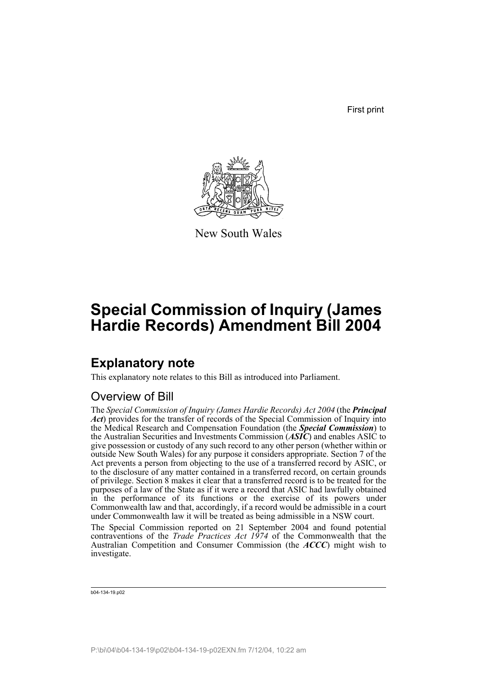First print



New South Wales

# **Special Commission of Inquiry (James Hardie Records) Amendment Bill 2004**

## **Explanatory note**

This explanatory note relates to this Bill as introduced into Parliament.

## Overview of Bill

The *Special Commission of Inquiry (James Hardie Records) Act 2004* (the *Principal Act*) provides for the transfer of records of the Special Commission of Inquiry into the Medical Research and Compensation Foundation (the *Special Commission*) to the Australian Securities and Investments Commission (*ASIC*) and enables ASIC to give possession or custody of any such record to any other person (whether within or outside New South Wales) for any purpose it considers appropriate. Section 7 of the Act prevents a person from objecting to the use of a transferred record by ASIC, or to the disclosure of any matter contained in a transferred record, on certain grounds of privilege. Section 8 makes it clear that a transferred record is to be treated for the purposes of a law of the State as if it were a record that ASIC had lawfully obtained in the performance of its functions or the exercise of its powers under Commonwealth law and that, accordingly, if a record would be admissible in a court under Commonwealth law it will be treated as being admissible in a NSW court.

The Special Commission reported on 21 September 2004 and found potential contraventions of the *Trade Practices Act 1974* of the Commonwealth that the Australian Competition and Consumer Commission (the *ACCC*) might wish to investigate.

```
b04-134-19.p02
```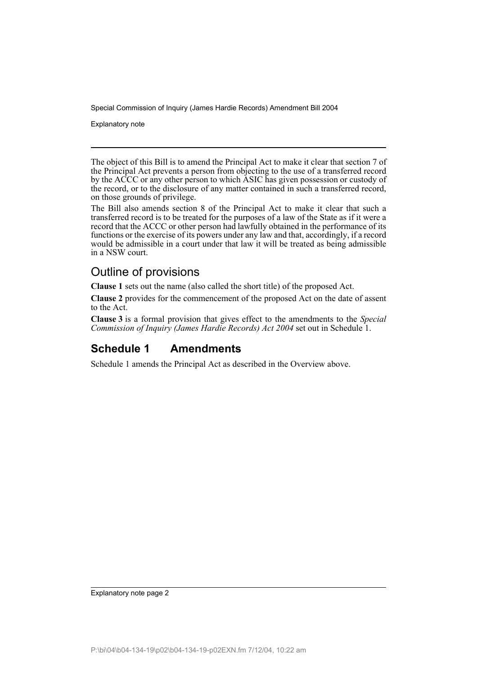Explanatory note

The object of this Bill is to amend the Principal Act to make it clear that section 7 of the Principal Act prevents a person from objecting to the use of a transferred record by the ACCC or any other person to which ASIC has given possession or custody of the record, or to the disclosure of any matter contained in such a transferred record, on those grounds of privilege.

The Bill also amends section 8 of the Principal Act to make it clear that such a transferred record is to be treated for the purposes of a law of the State as if it were a record that the ACCC or other person had lawfully obtained in the performance of its functions or the exercise of its powers under any law and that, accordingly, if a record would be admissible in a court under that law it will be treated as being admissible in a NSW court.

## Outline of provisions

**Clause 1** sets out the name (also called the short title) of the proposed Act.

**Clause 2** provides for the commencement of the proposed Act on the date of assent to the Act.

**Clause 3** is a formal provision that gives effect to the amendments to the *Special Commission of Inquiry (James Hardie Records) Act 2004* set out in Schedule 1.

### **Schedule 1 Amendments**

Schedule 1 amends the Principal Act as described in the Overview above.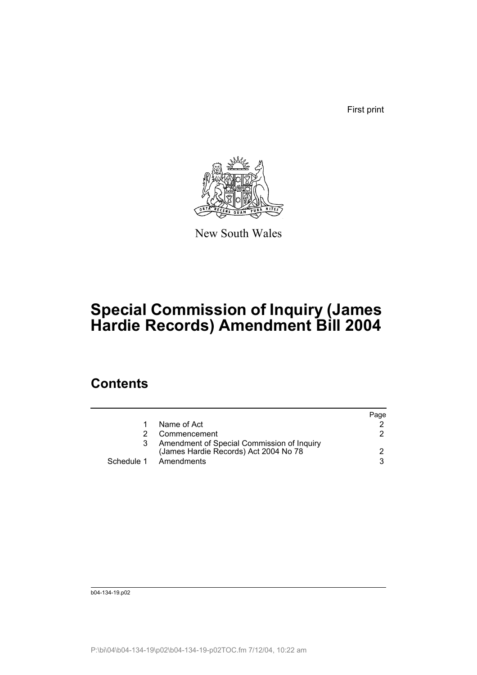First print



New South Wales

# **Special Commission of Inquiry (James Hardie Records) Amendment Bill 2004**

## **Contents**

|    |                                                                                     | Page |
|----|-------------------------------------------------------------------------------------|------|
| 1. | Name of Act                                                                         |      |
| 2. | Commencement                                                                        | 2    |
| 3  | Amendment of Special Commission of Inquiry<br>(James Hardie Records) Act 2004 No 78 | 2.   |
|    | Schedule 1 Amendments                                                               | 3    |

b04-134-19.p02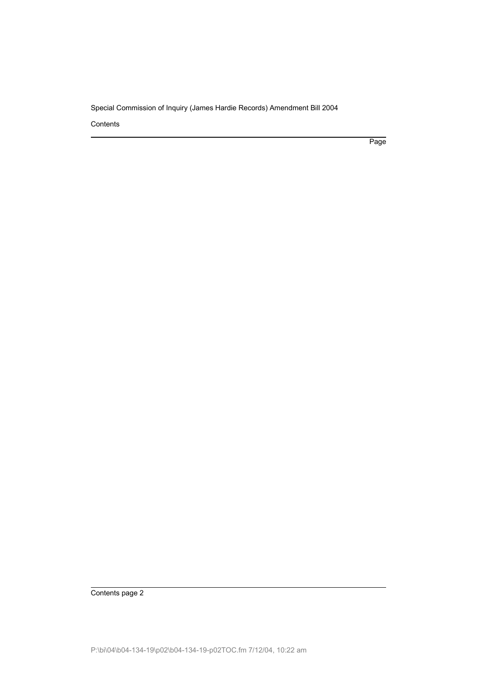**Contents** 

Page

Contents page 2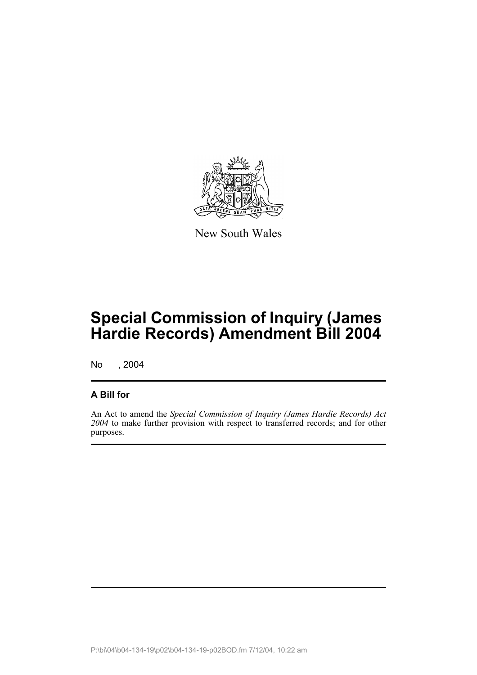

New South Wales

# **Special Commission of Inquiry (James Hardie Records) Amendment Bill 2004**

No , 2004

#### **A Bill for**

An Act to amend the *Special Commission of Inquiry (James Hardie Records) Act 2004* to make further provision with respect to transferred records; and for other purposes.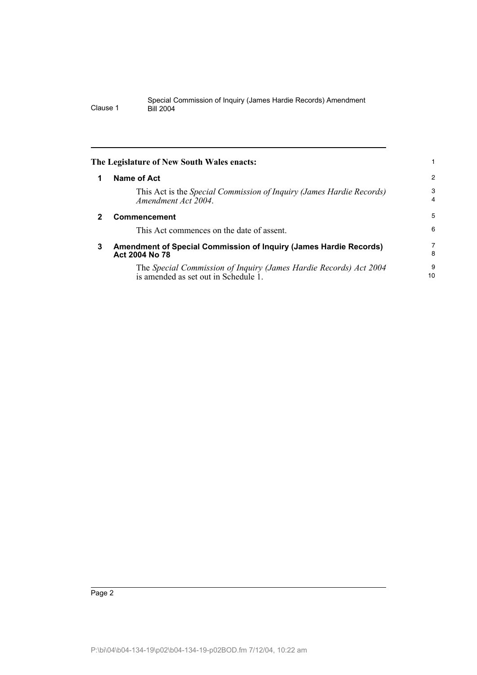|   | The Legislature of New South Wales enacts:                                                                |                     |
|---|-----------------------------------------------------------------------------------------------------------|---------------------|
| 1 | Name of Act                                                                                               | 2                   |
|   | This Act is the Special Commission of Inquiry (James Hardie Records)<br>Amendment Act 2004.               | 3<br>$\overline{4}$ |
| 2 | Commencement                                                                                              | 5                   |
|   | This Act commences on the date of assent.                                                                 | 6                   |
| 3 | Amendment of Special Commission of Inquiry (James Hardie Records)<br>Act 2004 No 78                       | 7<br>8              |
|   | The Special Commission of Inquiry (James Hardie Records) Act 2004<br>is amended as set out in Schedule 1. | 9<br>10             |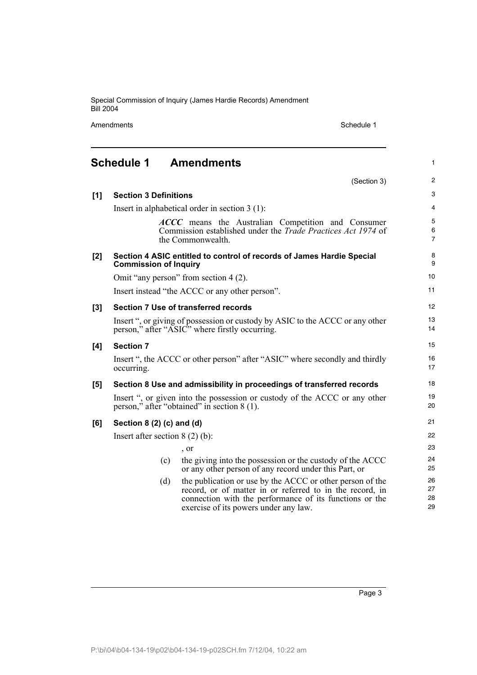Amendments Schedule 1

(Section 3)

1

2

# **Schedule 1 Amendments**

| [1] | <b>Section 3 Definitions</b>                                                                                                    |                                                                                                                                                                                                                           | 3                        |
|-----|---------------------------------------------------------------------------------------------------------------------------------|---------------------------------------------------------------------------------------------------------------------------------------------------------------------------------------------------------------------------|--------------------------|
|     |                                                                                                                                 | Insert in alphabetical order in section $3(1)$ :                                                                                                                                                                          | $\overline{4}$           |
|     |                                                                                                                                 | ACCC means the Australian Competition and Consumer<br>Commission established under the <i>Trade Practices Act 1974</i> of<br>the Commonwealth.                                                                            | 5<br>6<br>$\overline{7}$ |
| [2] | <b>Commission of Inquiry</b>                                                                                                    | Section 4 ASIC entitled to control of records of James Hardie Special                                                                                                                                                     | 8<br>9                   |
|     |                                                                                                                                 | Omit "any person" from section 4 (2).                                                                                                                                                                                     | 10                       |
|     | Insert instead "the ACCC or any other person".                                                                                  |                                                                                                                                                                                                                           |                          |
| [3] |                                                                                                                                 | <b>Section 7 Use of transferred records</b>                                                                                                                                                                               | 12 <sup>2</sup>          |
|     | Insert ", or giving of possession or custody by ASIC to the ACCC or any other<br>person," after "ASIC" where firstly occurring. |                                                                                                                                                                                                                           |                          |
| [4] | <b>Section 7</b>                                                                                                                |                                                                                                                                                                                                                           | 15                       |
|     | occurring.                                                                                                                      | Insert ", the ACCC or other person" after "ASIC" where secondly and thirdly                                                                                                                                               | 16<br>17                 |
| [5] |                                                                                                                                 | Section 8 Use and admissibility in proceedings of transferred records                                                                                                                                                     | 18                       |
|     |                                                                                                                                 | Insert ", or given into the possession or custody of the ACCC or any other<br>person," after "obtained" in section 8 (1).                                                                                                 | 19<br>20                 |
| [6] | Section $8(2)(c)$ and $(d)$                                                                                                     |                                                                                                                                                                                                                           | 21                       |
|     | Insert after section $8(2)(b)$ :                                                                                                |                                                                                                                                                                                                                           |                          |
|     |                                                                                                                                 | , or                                                                                                                                                                                                                      | 23                       |
|     | (c)                                                                                                                             | the giving into the possession or the custody of the ACCC<br>or any other person of any record under this Part, or                                                                                                        | 24<br>25                 |
|     | (d)                                                                                                                             | the publication or use by the ACCC or other person of the<br>record, or of matter in or referred to in the record, in<br>connection with the performance of its functions or the<br>exercise of its powers under any law. | 26<br>27<br>28<br>29     |
|     |                                                                                                                                 |                                                                                                                                                                                                                           |                          |

Page 3